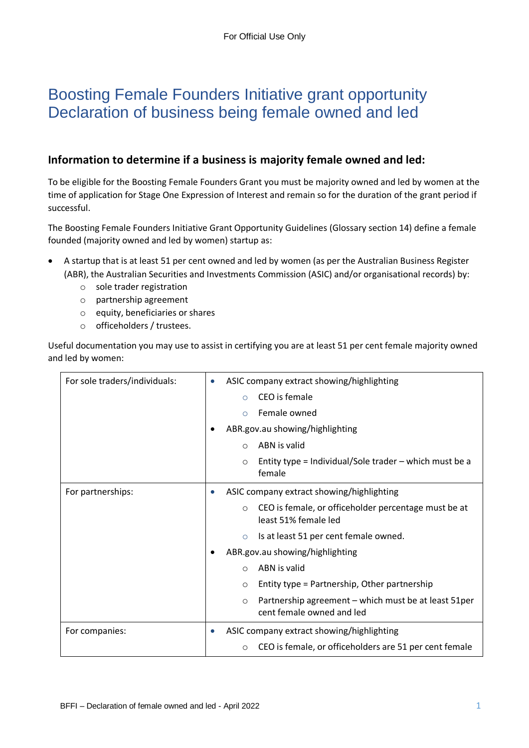# Boosting Female Founders Initiative grant opportunity Declaration of business being female owned and led

## **Information to determine if a business is majority female owned and led:**

To be eligible for the Boosting Female Founders Grant you must be majority owned and led by women at the time of application for Stage One Expression of Interest and remain so for the duration of the grant period if successful.

The Boosting Female Founders Initiative Grant Opportunity Guidelines (Glossary section 14) define a female founded (majority owned and led by women) startup as:

- A startup that is at least 51 per cent owned and led by women (as per the Australian Business Register (ABR), the Australian Securities and Investments Commission (ASIC) and/or organisational records) by:
	- o sole trader registration
	- o partnership agreement
	- o equity, beneficiaries or shares
	- o officeholders / trustees.

Useful documentation you may use to assist in certifying you are at least 51 per cent female majority owned and led by women:

| For sole traders/individuals: | ASIC company extract showing/highlighting<br>$\bullet$                                        |
|-------------------------------|-----------------------------------------------------------------------------------------------|
|                               | CEO is female<br>$\bigcirc$                                                                   |
|                               | Female owned<br>$\bigcirc$                                                                    |
|                               | ABR.gov.au showing/highlighting                                                               |
|                               | ABN is valid<br>◯                                                                             |
|                               | Entity type = Individual/Sole trader $-$ which must be a<br>$\circ$<br>female                 |
| For partnerships:             | ASIC company extract showing/highlighting                                                     |
|                               | CEO is female, or officeholder percentage must be at<br>$\circ$<br>least 51% female led       |
|                               | Is at least 51 per cent female owned.<br>$\circ$                                              |
|                               | ABR.gov.au showing/highlighting                                                               |
|                               | ABN is valid<br>$\Omega$                                                                      |
|                               | Entity type = Partnership, Other partnership<br>$\circ$                                       |
|                               | Partnership agreement – which must be at least 51 per<br>$\circ$<br>cent female owned and led |
| For companies:                | ASIC company extract showing/highlighting<br>$\bullet$                                        |
|                               | CEO is female, or officeholders are 51 per cent female<br>$\circ$                             |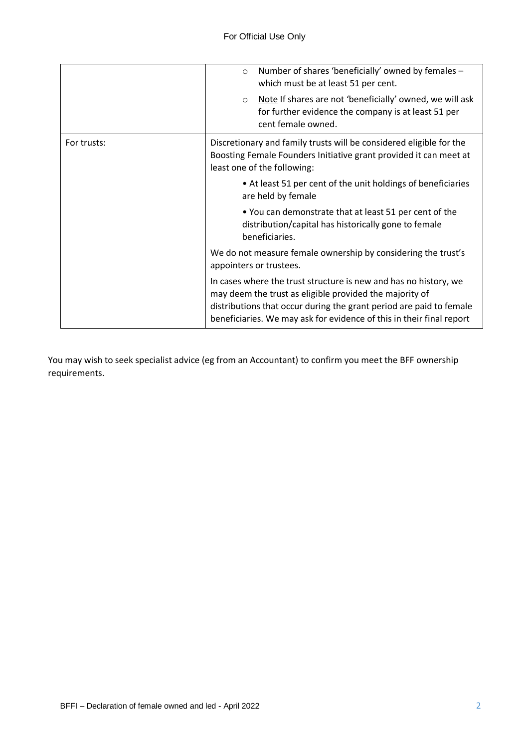|             | Number of shares 'beneficially' owned by females -<br>$\circ$<br>which must be at least 51 per cent.                                                                                                                                                                       |
|-------------|----------------------------------------------------------------------------------------------------------------------------------------------------------------------------------------------------------------------------------------------------------------------------|
|             | Note If shares are not 'beneficially' owned, we will ask<br>$\circ$<br>for further evidence the company is at least 51 per<br>cent female owned.                                                                                                                           |
| For trusts: | Discretionary and family trusts will be considered eligible for the<br>Boosting Female Founders Initiative grant provided it can meet at<br>least one of the following:                                                                                                    |
|             | • At least 51 per cent of the unit holdings of beneficiaries<br>are held by female                                                                                                                                                                                         |
|             | • You can demonstrate that at least 51 per cent of the<br>distribution/capital has historically gone to female<br>beneficiaries.                                                                                                                                           |
|             | We do not measure female ownership by considering the trust's<br>appointers or trustees.                                                                                                                                                                                   |
|             | In cases where the trust structure is new and has no history, we<br>may deem the trust as eligible provided the majority of<br>distributions that occur during the grant period are paid to female<br>beneficiaries. We may ask for evidence of this in their final report |

You may wish to seek specialist advice (eg from an Accountant) to confirm you meet the BFF ownership requirements.